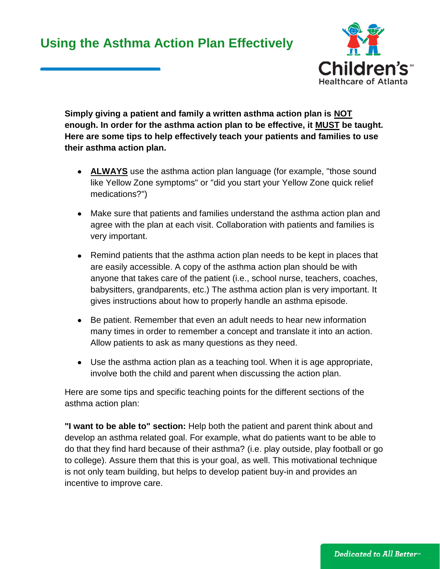## **Using the Asthma Action Plan Effectively**



**Simply giving a patient and family a written asthma action plan is NOT enough. In order for the asthma action plan to be effective, it MUST be taught. Here are some tips to help effectively teach your patients and families to use their asthma action plan.**

- **ALWAYS** use the asthma action plan language (for example, "those sound like Yellow Zone symptoms" or "did you start your Yellow Zone quick relief medications?")
- Make sure that patients and families understand the asthma action plan and agree with the plan at each visit. Collaboration with patients and families is very important.
- Remind patients that the asthma action plan needs to be kept in places that are easily accessible. A copy of the asthma action plan should be with anyone that takes care of the patient (i.e., school nurse, teachers, coaches, babysitters, grandparents, etc.) The asthma action plan is very important. It gives instructions about how to properly handle an asthma episode.
- Be patient. Remember that even an adult needs to hear new information many times in order to remember a concept and translate it into an action. Allow patients to ask as many questions as they need.
- Use the asthma action plan as a teaching tool. When it is age appropriate, involve both the child and parent when discussing the action plan.

Here are some tips and specific teaching points for the different sections of the asthma action plan:

**"I want to be able to" section:** Help both the patient and parent think about and develop an asthma related goal. For example, what do patients want to be able to do that they find hard because of their asthma? (i.e. play outside, play football or go to college). Assure them that this is your goal, as well. This motivational technique is not only team building, but helps to develop patient buy-in and provides an incentive to improve care.